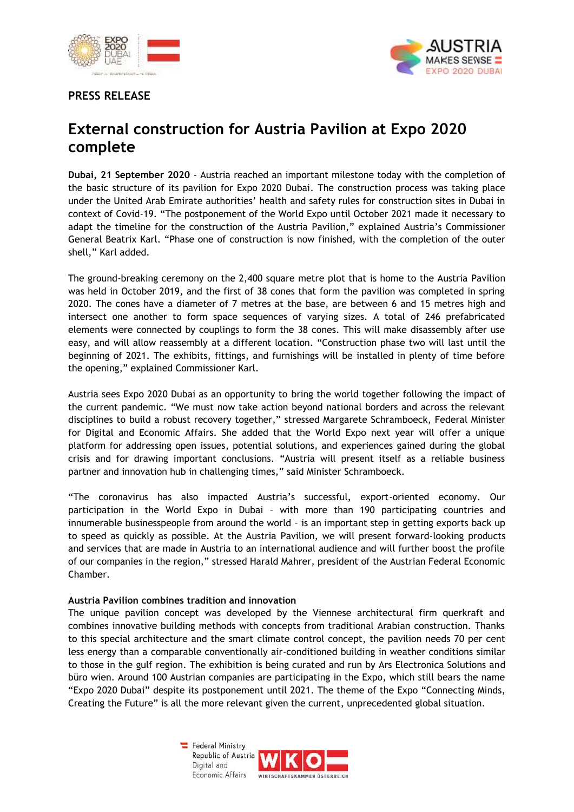

## **PRESS RELEASE**



## **External construction for Austria Pavilion at Expo 2020 complete**

**Dubai, 21 September 2020** - Austria reached an important milestone today with the completion of the basic structure of its pavilion for Expo 2020 Dubai. The construction process was taking place under the United Arab Emirate authorities' health and safety rules for construction sites in Dubai in context of Covid-19. "The postponement of the World Expo until October 2021 made it necessary to adapt the timeline for the construction of the Austria Pavilion," explained Austria's Commissioner General Beatrix Karl. "Phase one of construction is now finished, with the completion of the outer shell," Karl added.

The ground-breaking ceremony on the 2,400 square metre plot that is home to the Austria Pavilion was held in October 2019, and the first of 38 cones that form the pavilion was completed in spring 2020. The cones have a diameter of 7 metres at the base, are between 6 and 15 metres high and intersect one another to form space sequences of varying sizes. A total of 246 prefabricated elements were connected by couplings to form the 38 cones. This will make disassembly after use easy, and will allow reassembly at a different location. "Construction phase two will last until the beginning of 2021. The exhibits, fittings, and furnishings will be installed in plenty of time before the opening," explained Commissioner Karl.

Austria sees Expo 2020 Dubai as an opportunity to bring the world together following the impact of the current pandemic. "We must now take action beyond national borders and across the relevant disciplines to build a robust recovery together," stressed Margarete Schramboeck, Federal Minister for Digital and Economic Affairs. She added that the World Expo next year will offer a unique platform for addressing open issues, potential solutions, and experiences gained during the global crisis and for drawing important conclusions. "Austria will present itself as a reliable business partner and innovation hub in challenging times," said Minister Schramboeck.

"The coronavirus has also impacted Austria's successful, export-oriented economy. Our participation in the World Expo in Dubai – with more than 190 participating countries and innumerable businesspeople from around the world – is an important step in getting exports back up to speed as quickly as possible. At the Austria Pavilion, we will present forward-looking products and services that are made in Austria to an international audience and will further boost the profile of our companies in the region," stressed Harald Mahrer, president of the Austrian Federal Economic Chamber.

## **Austria Pavilion combines tradition and innovation**

The unique pavilion concept was developed by the Viennese architectural firm querkraft and combines innovative building methods with concepts from traditional Arabian construction. Thanks to this special architecture and the smart climate control concept, the pavilion needs 70 per cent less energy than a comparable conventionally air-conditioned building in weather conditions similar to those in the gulf region. The exhibition is being curated and run by Ars Electronica Solutions and büro wien. Around 100 Austrian companies are participating in the Expo, which still bears the name "Expo 2020 Dubai" despite its postponement until 2021. The theme of the Expo "Connecting Minds, Creating the Future" is all the more relevant given the current, unprecedented global situation.